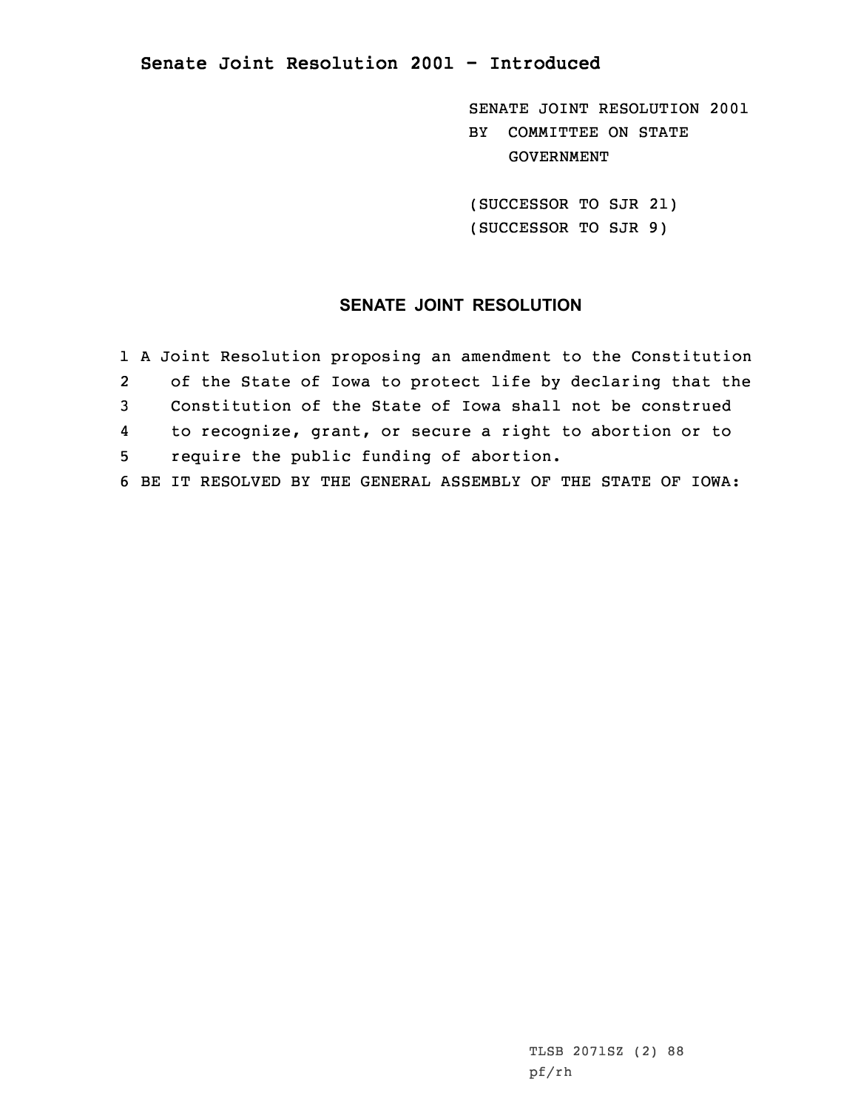## **Senate Joint Resolution 2001 - Introduced**

SENATE JOINT RESOLUTION 2001 BY COMMITTEE ON STATE GOVERNMENT

(SUCCESSOR TO SJR 21) (SUCCESSOR TO SJR 9)

## **SENATE JOINT RESOLUTION**

1 <sup>A</sup> Joint Resolution proposing an amendment to the Constitution 2 of the State of Iowa to protect life by declaring that the 3 Constitution of the State of Iowa shall not be construed 4 to recognize, grant, or secure <sup>a</sup> right to abortion or to 5 require the public funding of abortion. 6 BE IT RESOLVED BY THE GENERAL ASSEMBLY OF THE STATE OF IOWA: